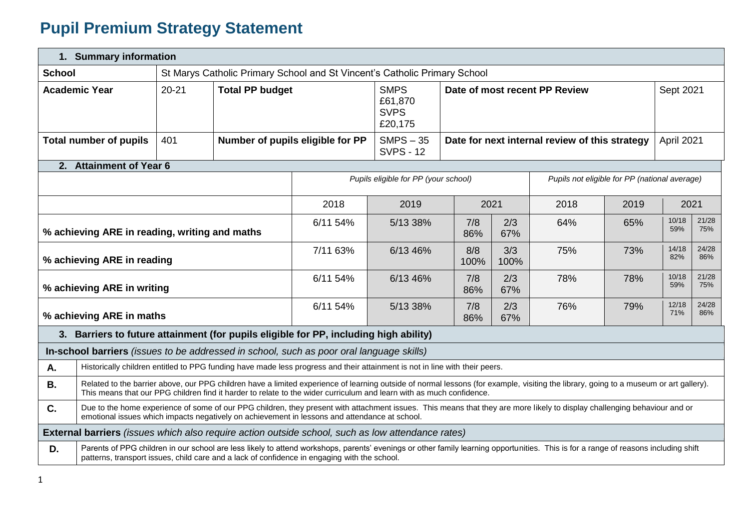## **Pupil Premium Strategy Statement**

| 1. Summary information |                                                                                                                                                                                                                                                                                                               |                                         |                                                                           |                                                                                                                                                                                                                                                                                     |                                      |                                                |             |                                               |           |              |              |
|------------------------|---------------------------------------------------------------------------------------------------------------------------------------------------------------------------------------------------------------------------------------------------------------------------------------------------------------|-----------------------------------------|---------------------------------------------------------------------------|-------------------------------------------------------------------------------------------------------------------------------------------------------------------------------------------------------------------------------------------------------------------------------------|--------------------------------------|------------------------------------------------|-------------|-----------------------------------------------|-----------|--------------|--------------|
| <b>School</b>          |                                                                                                                                                                                                                                                                                                               |                                         | St Marys Catholic Primary School and St Vincent's Catholic Primary School |                                                                                                                                                                                                                                                                                     |                                      |                                                |             |                                               |           |              |              |
|                        | <b>Academic Year</b>                                                                                                                                                                                                                                                                                          | <b>Total PP budget</b><br>$20 - 21$     |                                                                           | <b>SMPS</b><br>£61,870<br><b>SVPS</b><br>£20,175                                                                                                                                                                                                                                    | Date of most recent PP Review        |                                                |             |                                               | Sept 2021 |              |              |
|                        | <b>Total number of pupils</b>                                                                                                                                                                                                                                                                                 | 401<br>Number of pupils eligible for PP |                                                                           |                                                                                                                                                                                                                                                                                     | $SMPS - 35$<br><b>SVPS - 12</b>      | Date for next internal review of this strategy |             |                                               |           | April 2021   |              |
|                        | 2. Attainment of Year 6                                                                                                                                                                                                                                                                                       |                                         |                                                                           |                                                                                                                                                                                                                                                                                     |                                      |                                                |             |                                               |           |              |              |
|                        |                                                                                                                                                                                                                                                                                                               |                                         |                                                                           |                                                                                                                                                                                                                                                                                     | Pupils eligible for PP (your school) |                                                |             | Pupils not eligible for PP (national average) |           |              |              |
|                        |                                                                                                                                                                                                                                                                                                               |                                         |                                                                           | 2018                                                                                                                                                                                                                                                                                | 2019                                 |                                                | 2021        | 2018                                          | 2019      | 2021         |              |
|                        | % achieving ARE in reading, writing and maths                                                                                                                                                                                                                                                                 |                                         |                                                                           | 6/11 54%                                                                                                                                                                                                                                                                            | 5/13 38%                             | 7/8<br>86%                                     | 2/3<br>67%  | 64%                                           | 65%       | 10/18<br>59% | 21/28<br>75% |
|                        | % achieving ARE in reading                                                                                                                                                                                                                                                                                    |                                         |                                                                           | 7/11 63%                                                                                                                                                                                                                                                                            | 6/13 46%                             | 8/8<br>100%                                    | 3/3<br>100% | 75%                                           | 73%       | 14/18<br>82% | 24/28<br>86% |
|                        | % achieving ARE in writing                                                                                                                                                                                                                                                                                    |                                         |                                                                           | 6/11 54%                                                                                                                                                                                                                                                                            | 6/13 46%                             | 7/8<br>86%                                     | 2/3<br>67%  | 78%                                           | 78%       | 10/18<br>59% | 21/28<br>75% |
|                        | % achieving ARE in maths                                                                                                                                                                                                                                                                                      |                                         |                                                                           | 6/11 54%                                                                                                                                                                                                                                                                            | 5/13 38%                             | 7/8<br>86%                                     | 2/3<br>67%  | 76%                                           | 79%       | 12/18<br>71% | 24/28<br>86% |
|                        |                                                                                                                                                                                                                                                                                                               |                                         |                                                                           | 3. Barriers to future attainment (for pupils eligible for PP, including high ability)                                                                                                                                                                                               |                                      |                                                |             |                                               |           |              |              |
|                        |                                                                                                                                                                                                                                                                                                               |                                         |                                                                           | In-school barriers <i>(issues to be addressed in school, such as poor oral language skills)</i>                                                                                                                                                                                     |                                      |                                                |             |                                               |           |              |              |
| Α.                     |                                                                                                                                                                                                                                                                                                               |                                         |                                                                           | Historically children entitled to PPG funding have made less progress and their attainment is not in line with their peers.                                                                                                                                                         |                                      |                                                |             |                                               |           |              |              |
| <b>B.</b>              | Related to the barrier above, our PPG children have a limited experience of learning outside of normal lessons (for example, visiting the library, going to a museum or art gallery).<br>This means that our PPG children find it harder to relate to the wider curriculum and learn with as much confidence. |                                         |                                                                           |                                                                                                                                                                                                                                                                                     |                                      |                                                |             |                                               |           |              |              |
| C.                     | Due to the home experience of some of our PPG children, they present with attachment issues. This means that they are more likely to display challenging behaviour and or<br>emotional issues which impacts negatively on achievement in lessons and attendance at school.                                    |                                         |                                                                           |                                                                                                                                                                                                                                                                                     |                                      |                                                |             |                                               |           |              |              |
|                        |                                                                                                                                                                                                                                                                                                               |                                         |                                                                           | <b>External barriers</b> (issues which also require action outside school, such as low attendance rates)                                                                                                                                                                            |                                      |                                                |             |                                               |           |              |              |
| D.                     |                                                                                                                                                                                                                                                                                                               |                                         |                                                                           | Parents of PPG children in our school are less likely to attend workshops, parents' evenings or other family learning opportunities. This is for a range of reasons including shift<br>patterns, transport issues, child care and a lack of confidence in engaging with the school. |                                      |                                                |             |                                               |           |              |              |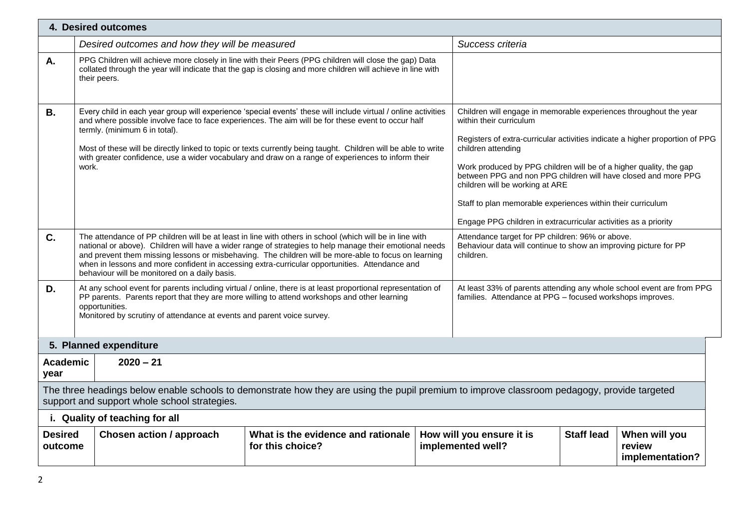|                           | 4. Desired outcomes                                                                                                                                                                                                                                                                                                                                                                                                                                                                    |                                                                                                                                                                                                                                                                                                                                                                                                                                                                                                                 |  |                                                                                                                                   |                   |                                            |  |
|---------------------------|----------------------------------------------------------------------------------------------------------------------------------------------------------------------------------------------------------------------------------------------------------------------------------------------------------------------------------------------------------------------------------------------------------------------------------------------------------------------------------------|-----------------------------------------------------------------------------------------------------------------------------------------------------------------------------------------------------------------------------------------------------------------------------------------------------------------------------------------------------------------------------------------------------------------------------------------------------------------------------------------------------------------|--|-----------------------------------------------------------------------------------------------------------------------------------|-------------------|--------------------------------------------|--|
|                           | Desired outcomes and how they will be measured                                                                                                                                                                                                                                                                                                                                                                                                                                         |                                                                                                                                                                                                                                                                                                                                                                                                                                                                                                                 |  | Success criteria                                                                                                                  |                   |                                            |  |
| А.                        | their peers.                                                                                                                                                                                                                                                                                                                                                                                                                                                                           | PPG Children will achieve more closely in line with their Peers (PPG children will close the gap) Data<br>collated through the year will indicate that the gap is closing and more children will achieve in line with                                                                                                                                                                                                                                                                                           |  |                                                                                                                                   |                   |                                            |  |
| <b>B.</b>                 | Every child in each year group will experience 'special events' these will include virtual / online activities<br>and where possible involve face to face experiences. The aim will be for these event to occur half<br>termly. (minimum 6 in total).<br>Most of these will be directly linked to topic or texts currently being taught. Children will be able to write<br>with greater confidence, use a wider vocabulary and draw on a range of experiences to inform their<br>work. | Children will engage in memorable experiences throughout the year<br>within their curriculum<br>Registers of extra-curricular activities indicate a higher proportion of PPG<br>children attending<br>Work produced by PPG children will be of a higher quality, the gap<br>between PPG and non PPG children will have closed and more PPG<br>children will be working at ARE<br>Staff to plan memorable experiences within their curriculum<br>Engage PPG children in extracurricular activities as a priority |  |                                                                                                                                   |                   |                                            |  |
| C.                        | behaviour will be monitored on a daily basis.                                                                                                                                                                                                                                                                                                                                                                                                                                          | The attendance of PP children will be at least in line with others in school (which will be in line with<br>national or above). Children will have a wider range of strategies to help manage their emotional needs<br>and prevent them missing lessons or misbehaving. The children will be more-able to focus on learning<br>when in lessons and more confident in accessing extra-curricular opportunities. Attendance and                                                                                   |  | Attendance target for PP children: 96% or above.<br>Behaviour data will continue to show an improving picture for PP<br>children. |                   |                                            |  |
| D.                        | At any school event for parents including virtual / online, there is at least proportional representation of<br>At least 33% of parents attending any whole school event are from PPG<br>PP parents. Parents report that they are more willing to attend workshops and other learning<br>families. Attendance at PPG - focused workshops improves.<br>opportunities.<br>Monitored by scrutiny of attendance at events and parent voice survey.                                         |                                                                                                                                                                                                                                                                                                                                                                                                                                                                                                                 |  |                                                                                                                                   |                   |                                            |  |
|                           | 5. Planned expenditure                                                                                                                                                                                                                                                                                                                                                                                                                                                                 |                                                                                                                                                                                                                                                                                                                                                                                                                                                                                                                 |  |                                                                                                                                   |                   |                                            |  |
| <b>Academic</b><br>year   | $2020 - 21$                                                                                                                                                                                                                                                                                                                                                                                                                                                                            |                                                                                                                                                                                                                                                                                                                                                                                                                                                                                                                 |  |                                                                                                                                   |                   |                                            |  |
|                           | The three headings below enable schools to demonstrate how they are using the pupil premium to improve classroom pedagogy, provide targeted<br>support and support whole school strategies.                                                                                                                                                                                                                                                                                            |                                                                                                                                                                                                                                                                                                                                                                                                                                                                                                                 |  |                                                                                                                                   |                   |                                            |  |
|                           | i. Quality of teaching for all                                                                                                                                                                                                                                                                                                                                                                                                                                                         |                                                                                                                                                                                                                                                                                                                                                                                                                                                                                                                 |  |                                                                                                                                   |                   |                                            |  |
| <b>Desired</b><br>outcome | Chosen action / approach                                                                                                                                                                                                                                                                                                                                                                                                                                                               | What is the evidence and rationale<br>for this choice?                                                                                                                                                                                                                                                                                                                                                                                                                                                          |  | How will you ensure it is<br>implemented well?                                                                                    | <b>Staff lead</b> | When will you<br>review<br>implementation? |  |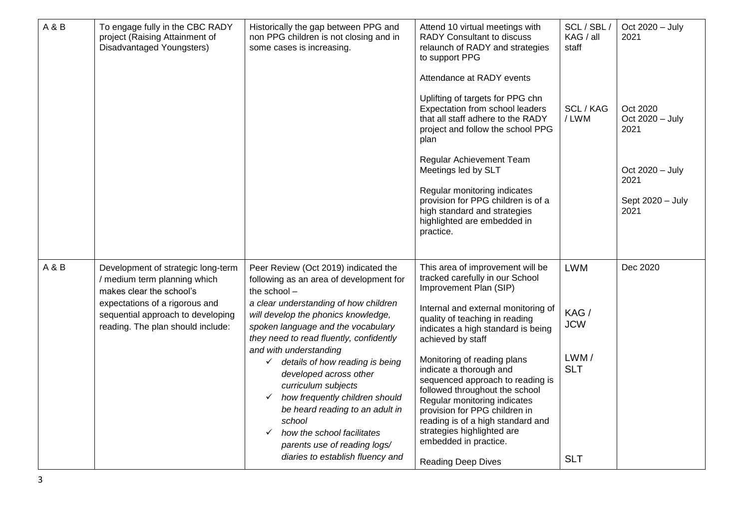| A&B | To engage fully in the CBC RADY<br>project (Raising Attainment of<br>Disadvantaged Youngsters)                                                                                                             | Historically the gap between PPG and<br>non PPG children is not closing and in<br>some cases is increasing.                                                                                                                                                                                                                                                                                                                                                                                                                                                                                                  | Attend 10 virtual meetings with<br><b>RADY Consultant to discuss</b><br>relaunch of RADY and strategies<br>to support PPG<br>Attendance at RADY events<br>Uplifting of targets for PPG chn<br>Expectation from school leaders<br>that all staff adhere to the RADY<br>project and follow the school PPG<br>plan<br>Regular Achievement Team<br>Meetings led by SLT<br>Regular monitoring indicates<br>provision for PPG children is of a<br>high standard and strategies<br>highlighted are embedded in<br>practice.                                        | SCL / SBL<br>KAG / all<br>staff<br>SCL / KAG<br>/LWM                 | Oct 2020 - July<br>2021<br>Oct 2020<br>Oct 2020 - July<br>2021<br>Oct 2020 - July<br>2021<br>Sept 2020 - July<br>2021 |
|-----|------------------------------------------------------------------------------------------------------------------------------------------------------------------------------------------------------------|--------------------------------------------------------------------------------------------------------------------------------------------------------------------------------------------------------------------------------------------------------------------------------------------------------------------------------------------------------------------------------------------------------------------------------------------------------------------------------------------------------------------------------------------------------------------------------------------------------------|-------------------------------------------------------------------------------------------------------------------------------------------------------------------------------------------------------------------------------------------------------------------------------------------------------------------------------------------------------------------------------------------------------------------------------------------------------------------------------------------------------------------------------------------------------------|----------------------------------------------------------------------|-----------------------------------------------------------------------------------------------------------------------|
| A&B | Development of strategic long-term<br>/ medium term planning which<br>makes clear the school's<br>expectations of a rigorous and<br>sequential approach to developing<br>reading. The plan should include: | Peer Review (Oct 2019) indicated the<br>following as an area of development for<br>the school -<br>a clear understanding of how children<br>will develop the phonics knowledge,<br>spoken language and the vocabulary<br>they need to read fluently, confidently<br>and with understanding<br>$\checkmark$ details of how reading is being<br>developed across other<br>curriculum subjects<br>how frequently children should<br>$\checkmark$<br>be heard reading to an adult in<br>school<br>how the school facilitates<br>$\checkmark$<br>parents use of reading logs/<br>diaries to establish fluency and | This area of improvement will be<br>tracked carefully in our School<br>Improvement Plan (SIP)<br>Internal and external monitoring of<br>quality of teaching in reading<br>indicates a high standard is being<br>achieved by staff<br>Monitoring of reading plans<br>indicate a thorough and<br>sequenced approach to reading is<br>followed throughout the school<br>Regular monitoring indicates<br>provision for PPG children in<br>reading is of a high standard and<br>strategies highlighted are<br>embedded in practice.<br><b>Reading Deep Dives</b> | <b>LWM</b><br>KAG/<br><b>JCW</b><br>LWM/<br><b>SLT</b><br><b>SLT</b> | Dec 2020                                                                                                              |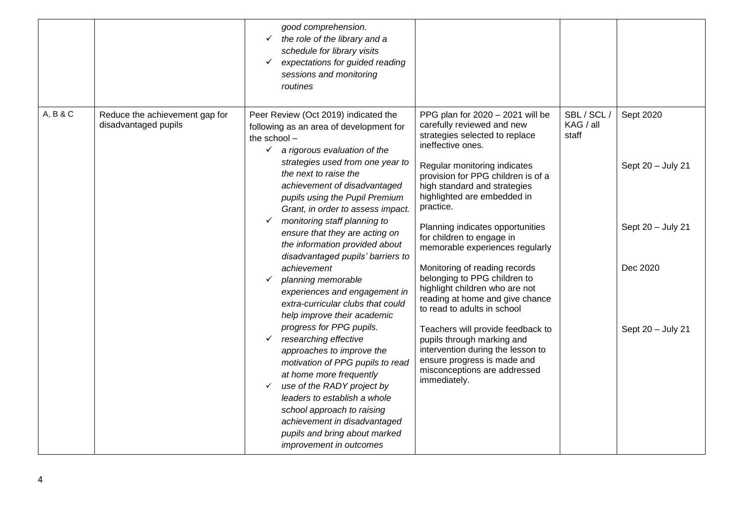|          |                                                        | good comprehension.<br>the role of the library and a<br>schedule for library visits<br>expectations for guided reading<br>✓<br>sessions and monitoring<br>routines                                                                                                                                                                                    |                                                                                                                                                                                             |                                 |                                |
|----------|--------------------------------------------------------|-------------------------------------------------------------------------------------------------------------------------------------------------------------------------------------------------------------------------------------------------------------------------------------------------------------------------------------------------------|---------------------------------------------------------------------------------------------------------------------------------------------------------------------------------------------|---------------------------------|--------------------------------|
| A, B & C | Reduce the achievement gap for<br>disadvantaged pupils | Peer Review (Oct 2019) indicated the<br>following as an area of development for<br>the school -<br>$\checkmark$ a rigorous evaluation of the<br>strategies used from one year to<br>the next to raise the                                                                                                                                             | PPG plan for 2020 - 2021 will be<br>carefully reviewed and new<br>strategies selected to replace<br>ineffective ones.<br>Regular monitoring indicates<br>provision for PPG children is of a | SBL / SCL<br>KAG / all<br>staff | Sept 2020<br>Sept 20 - July 21 |
|          |                                                        | achievement of disadvantaged<br>pupils using the Pupil Premium<br>Grant, in order to assess impact.                                                                                                                                                                                                                                                   | high standard and strategies<br>highlighted are embedded in<br>practice.                                                                                                                    |                                 |                                |
|          |                                                        | monitoring staff planning to<br>ensure that they are acting on<br>the information provided about<br>disadvantaged pupils' barriers to                                                                                                                                                                                                                 | Planning indicates opportunities<br>for children to engage in<br>memorable experiences regularly                                                                                            |                                 | Sept 20 - July 21              |
|          | achievement<br>planning memorable<br>✓                 | experiences and engagement in<br>extra-curricular clubs that could<br>help improve their academic                                                                                                                                                                                                                                                     | Monitoring of reading records<br>belonging to PPG children to<br>highlight children who are not<br>reading at home and give chance<br>to read to adults in school                           |                                 | Dec 2020                       |
|          |                                                        | progress for PPG pupils.<br>researching effective<br>approaches to improve the<br>motivation of PPG pupils to read<br>at home more frequently<br>use of the RADY project by<br>$\checkmark$<br>leaders to establish a whole<br>school approach to raising<br>achievement in disadvantaged<br>pupils and bring about marked<br>improvement in outcomes | Teachers will provide feedback to<br>pupils through marking and<br>intervention during the lesson to<br>ensure progress is made and<br>misconceptions are addressed<br>immediately.         |                                 | Sept 20 - July 21              |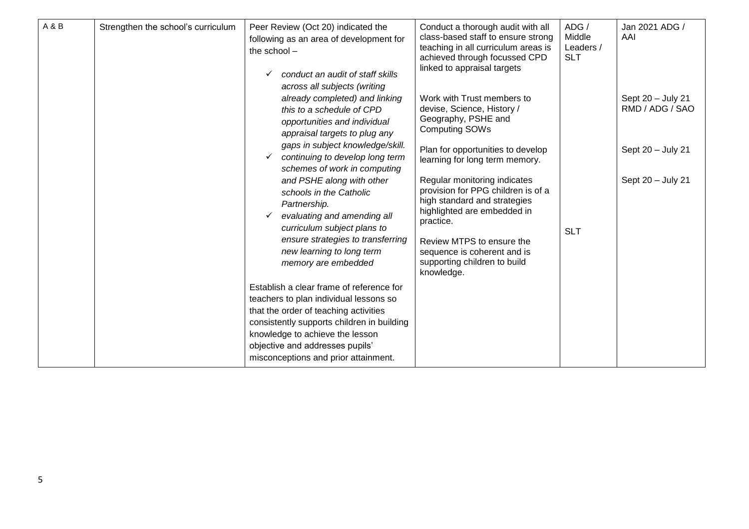| A&B | Strengthen the school's curriculum | Conduct a thorough audit with all<br>Peer Review (Oct 20) indicated the<br>class-based staff to ensure strong<br>following as an area of development for<br>teaching in all curriculum areas is<br>the school-<br>achieved through focussed CPD<br>linked to appraisal targets<br>conduct an audit of staff skills<br>across all subjects (writing<br>already completed) and linking<br>Work with Trust members to                                                                           | ADG /<br>Middle<br>Leaders /<br><b>SLT</b> | Jan 2021 ADG /<br>AAI<br>Sept 20 - July 21<br>RMD / ADG / SAO |
|-----|------------------------------------|----------------------------------------------------------------------------------------------------------------------------------------------------------------------------------------------------------------------------------------------------------------------------------------------------------------------------------------------------------------------------------------------------------------------------------------------------------------------------------------------|--------------------------------------------|---------------------------------------------------------------|
|     |                                    | devise, Science, History /<br>this to a schedule of CPD<br>Geography, PSHE and<br>opportunities and individual<br><b>Computing SOWs</b><br>appraisal targets to plug any                                                                                                                                                                                                                                                                                                                     |                                            |                                                               |
|     |                                    | gaps in subject knowledge/skill.<br>Plan for opportunities to develop<br>continuing to develop long term<br>✓<br>learning for long term memory.<br>schemes of work in computing                                                                                                                                                                                                                                                                                                              |                                            | Sept 20 - July 21                                             |
|     |                                    | Regular monitoring indicates<br>and PSHE along with other<br>provision for PPG children is of a<br>schools in the Catholic<br>high standard and strategies<br>Partnership.<br>highlighted are embedded in<br>evaluating and amending all<br>✓<br>practice.<br>curriculum subject plans to<br>ensure strategies to transferring<br>Review MTPS to ensure the<br>new learning to long term<br>sequence is coherent and is<br>supporting children to build<br>memory are embedded<br>knowledge. | <b>SLT</b>                                 | Sept 20 - July 21                                             |
|     |                                    | Establish a clear frame of reference for<br>teachers to plan individual lessons so<br>that the order of teaching activities<br>consistently supports children in building<br>knowledge to achieve the lesson<br>objective and addresses pupils'<br>misconceptions and prior attainment.                                                                                                                                                                                                      |                                            |                                                               |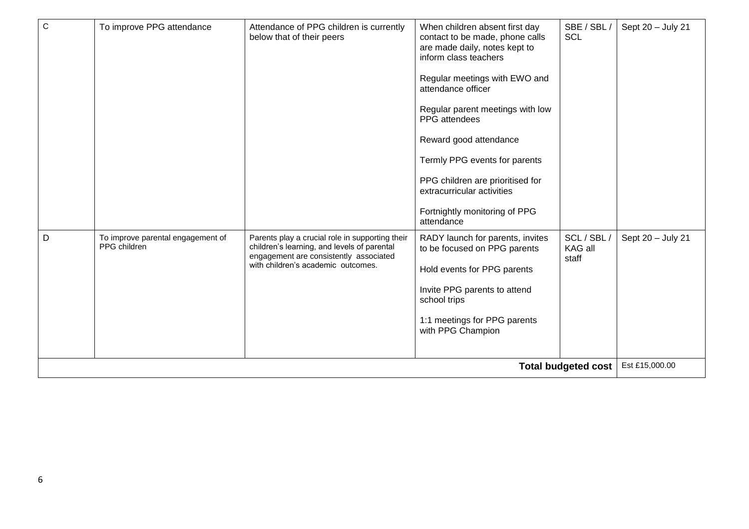| $\mathbf C$                | To improve PPG attendance                         | Attendance of PPG children is currently<br>below that of their peers                                                                                                           | When children absent first day<br>contact to be made, phone calls<br>are made daily, notes kept to<br>inform class teachers<br>Regular meetings with EWO and<br>attendance officer<br>Regular parent meetings with low<br>PPG attendees<br>Reward good attendance<br>Termly PPG events for parents<br>PPG children are prioritised for<br>extracurricular activities<br>Fortnightly monitoring of PPG<br>attendance | SBE / SBL /<br><b>SCL</b>       | Sept 20 - July 21 |
|----------------------------|---------------------------------------------------|--------------------------------------------------------------------------------------------------------------------------------------------------------------------------------|---------------------------------------------------------------------------------------------------------------------------------------------------------------------------------------------------------------------------------------------------------------------------------------------------------------------------------------------------------------------------------------------------------------------|---------------------------------|-------------------|
| D                          | To improve parental engagement of<br>PPG children | Parents play a crucial role in supporting their<br>children's learning, and levels of parental<br>engagement are consistently associated<br>with children's academic outcomes. | RADY launch for parents, invites<br>to be focused on PPG parents<br>Hold events for PPG parents<br>Invite PPG parents to attend<br>school trips<br>1:1 meetings for PPG parents<br>with PPG Champion                                                                                                                                                                                                                | SCL / SBL /<br>KAG all<br>staff | Sept 20 - July 21 |
| <b>Total budgeted cost</b> |                                                   |                                                                                                                                                                                |                                                                                                                                                                                                                                                                                                                                                                                                                     |                                 | Est £15,000.00    |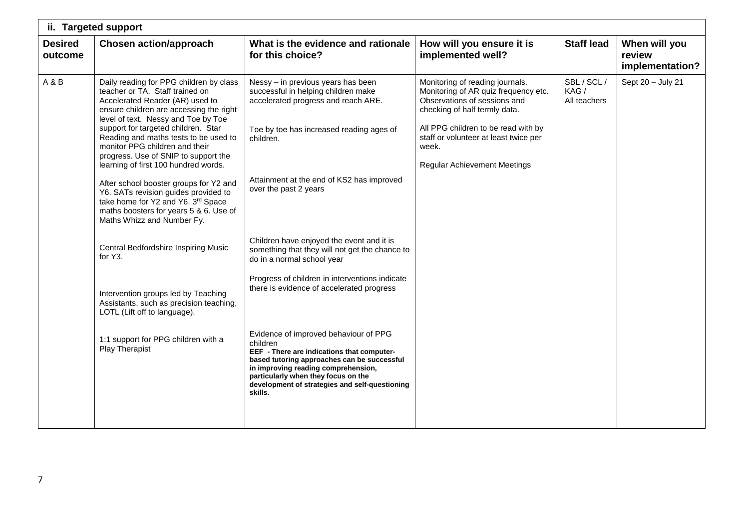|                           | ii. Targeted support                                                                                                                                                                                                                                                                                                                                                                                                                                                                                                                                                                                                                                                                                                                                                                                                            |                                                                                                                                                                                                                                                                                                                                                                                                                                                                                                                                                                                                                                                                                                                                                                          |                                                                                                                                                                                                                                                                          |                                     |                                            |
|---------------------------|---------------------------------------------------------------------------------------------------------------------------------------------------------------------------------------------------------------------------------------------------------------------------------------------------------------------------------------------------------------------------------------------------------------------------------------------------------------------------------------------------------------------------------------------------------------------------------------------------------------------------------------------------------------------------------------------------------------------------------------------------------------------------------------------------------------------------------|--------------------------------------------------------------------------------------------------------------------------------------------------------------------------------------------------------------------------------------------------------------------------------------------------------------------------------------------------------------------------------------------------------------------------------------------------------------------------------------------------------------------------------------------------------------------------------------------------------------------------------------------------------------------------------------------------------------------------------------------------------------------------|--------------------------------------------------------------------------------------------------------------------------------------------------------------------------------------------------------------------------------------------------------------------------|-------------------------------------|--------------------------------------------|
| <b>Desired</b><br>outcome | <b>Chosen action/approach</b>                                                                                                                                                                                                                                                                                                                                                                                                                                                                                                                                                                                                                                                                                                                                                                                                   | What is the evidence and rationale<br>for this choice?                                                                                                                                                                                                                                                                                                                                                                                                                                                                                                                                                                                                                                                                                                                   | How will you ensure it is<br>implemented well?                                                                                                                                                                                                                           | <b>Staff lead</b>                   | When will you<br>review<br>implementation? |
| A&B                       | Daily reading for PPG children by class<br>teacher or TA. Staff trained on<br>Accelerated Reader (AR) used to<br>ensure children are accessing the right<br>level of text. Nessy and Toe by Toe<br>support for targeted children. Star<br>Reading and maths tests to be used to<br>monitor PPG children and their<br>progress. Use of SNIP to support the<br>learning of first 100 hundred words.<br>After school booster groups for Y2 and<br>Y6. SATs revision guides provided to<br>take home for Y2 and Y6. 3rd Space<br>maths boosters for years 5 & 6. Use of<br>Maths Whizz and Number Fy.<br>Central Bedfordshire Inspiring Music<br>for Y3.<br>Intervention groups led by Teaching<br>Assistants, such as precision teaching,<br>LOTL (Lift off to language).<br>1:1 support for PPG children with a<br>Play Therapist | Nessy - in previous years has been<br>successful in helping children make<br>accelerated progress and reach ARE.<br>Toe by toe has increased reading ages of<br>children.<br>Attainment at the end of KS2 has improved<br>over the past 2 years<br>Children have enjoyed the event and it is<br>something that they will not get the chance to<br>do in a normal school year<br>Progress of children in interventions indicate<br>there is evidence of accelerated progress<br>Evidence of improved behaviour of PPG<br>children<br>EEF - There are indications that computer-<br>based tutoring approaches can be successful<br>in improving reading comprehension,<br>particularly when they focus on the<br>development of strategies and self-questioning<br>skills. | Monitoring of reading journals.<br>Monitoring of AR quiz frequency etc.<br>Observations of sessions and<br>checking of half termly data.<br>All PPG children to be read with by<br>staff or volunteer at least twice per<br>week.<br><b>Regular Achievement Meetings</b> | SBL / SCL /<br>KAG/<br>All teachers | Sept 20 - July 21                          |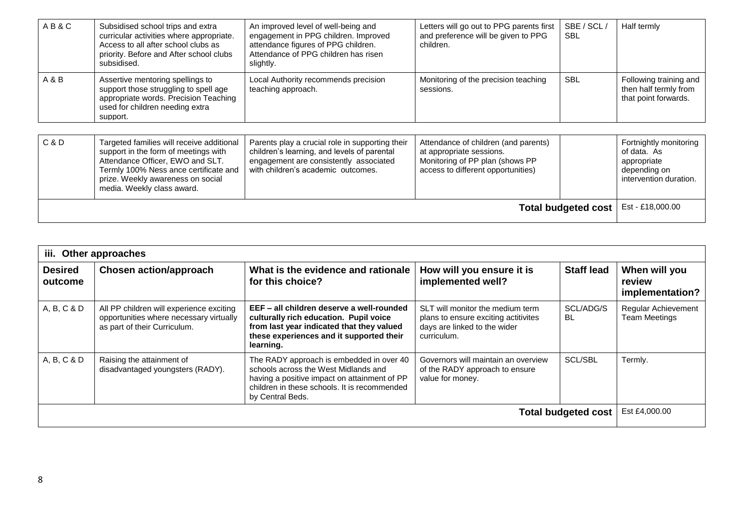| AB&C                                                     | Subsidised school trips and extra<br>curricular activities where appropriate.<br>Access to all after school clubs as<br>priority. Before and After school clubs<br>subsidised.                      | An improved level of well-being and<br>engagement in PPG children. Improved<br>attendance figures of PPG children.<br>Attendance of PPG children has risen<br>slightly.        | Letters will go out to PPG parents first<br>and preference will be given to PPG<br>children.                                              | SBE / SCL /<br><b>SBL</b> | Half termly                                                                                    |
|----------------------------------------------------------|-----------------------------------------------------------------------------------------------------------------------------------------------------------------------------------------------------|--------------------------------------------------------------------------------------------------------------------------------------------------------------------------------|-------------------------------------------------------------------------------------------------------------------------------------------|---------------------------|------------------------------------------------------------------------------------------------|
| A & B                                                    | Assertive mentoring spellings to<br>support those struggling to spell age<br>appropriate words. Precision Teaching<br>used for children needing extra<br>support.                                   | Local Authority recommends precision<br>teaching approach.                                                                                                                     | Monitoring of the precision teaching<br>sessions.                                                                                         | <b>SBL</b>                | Following training and<br>then half termly from<br>that point forwards.                        |
| C & D                                                    | Targeted families will receive additional<br>support in the form of meetings with<br>Attendance Officer, EWO and SLT.<br>Termly 100% Ness ance certificate and<br>prize. Weekly awareness on social | Parents play a crucial role in supporting their<br>children's learning, and levels of parental<br>engagement are consistently associated<br>with children's academic outcomes. | Attendance of children (and parents)<br>at appropriate sessions.<br>Monitoring of PP plan (shows PP<br>access to different opportunities) |                           | Fortnightly monitoring<br>of data. As<br>appropriate<br>depending on<br>intervention duration. |
| media. Weekly class award.<br><b>Total budgeted cost</b> |                                                                                                                                                                                                     |                                                                                                                                                                                |                                                                                                                                           |                           | Est - £18,000.00                                                                               |

|                           | iii. Other approaches                                                                                               |                                                                                                                                                                                                      |                                                                                                                         |                        |                                                    |  |  |
|---------------------------|---------------------------------------------------------------------------------------------------------------------|------------------------------------------------------------------------------------------------------------------------------------------------------------------------------------------------------|-------------------------------------------------------------------------------------------------------------------------|------------------------|----------------------------------------------------|--|--|
| <b>Desired</b><br>outcome | Chosen action/approach                                                                                              | What is the evidence and rationale<br>for this choice?                                                                                                                                               | How will you ensure it is<br>implemented well?                                                                          | <b>Staff lead</b>      | When will you<br>review<br>implementation?         |  |  |
| A, B, C & D               | All PP children will experience exciting<br>opportunities where necessary virtually<br>as part of their Curriculum. | EEF - all children deserve a well-rounded<br>culturally rich education. Pupil voice<br>from last year indicated that they valued<br>these experiences and it supported their<br>learning.            | SLT will monitor the medium term<br>plans to ensure exciting actitivites<br>days are linked to the wider<br>curriculum. | SCL/ADG/S<br><b>BL</b> | <b>Regular Achievement</b><br><b>Team Meetings</b> |  |  |
| A, B, C & D               | Raising the attainment of<br>disadvantaged youngsters (RADY).                                                       | The RADY approach is embedded in over 40<br>schools across the West Midlands and<br>having a positive impact on attainment of PP<br>children in these schools. It is recommended<br>by Central Beds. | Governors will maintain an overview<br>of the RADY approach to ensure<br>value for money.                               | <b>SCL/SBL</b>         | Termly.                                            |  |  |
|                           | <b>Total budgeted cost</b>                                                                                          |                                                                                                                                                                                                      |                                                                                                                         |                        |                                                    |  |  |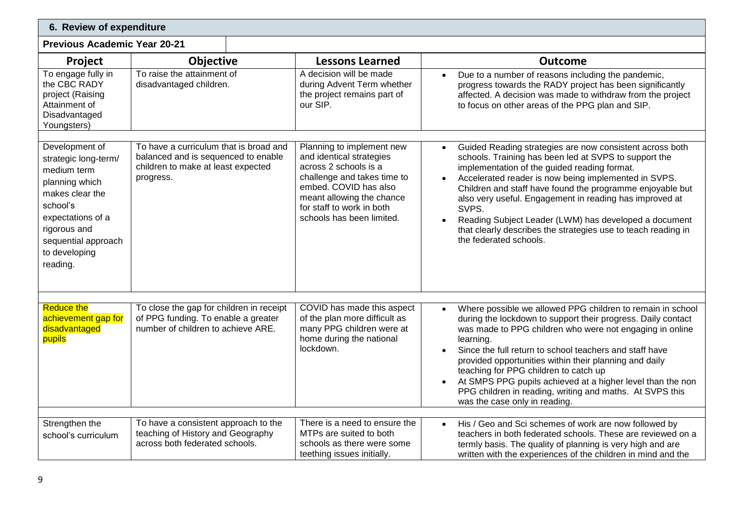| 6. Review of expenditure                                                                                                                                                      |                                                                                                                       |                                                                                                                                                                                                  |                                                                                                                                                                                                                                                                                                                                                                                                                                                                                                                              |
|-------------------------------------------------------------------------------------------------------------------------------------------------------------------------------|-----------------------------------------------------------------------------------------------------------------------|--------------------------------------------------------------------------------------------------------------------------------------------------------------------------------------------------|------------------------------------------------------------------------------------------------------------------------------------------------------------------------------------------------------------------------------------------------------------------------------------------------------------------------------------------------------------------------------------------------------------------------------------------------------------------------------------------------------------------------------|
| <b>Previous Academic Year 20-21</b>                                                                                                                                           |                                                                                                                       |                                                                                                                                                                                                  |                                                                                                                                                                                                                                                                                                                                                                                                                                                                                                                              |
| Project                                                                                                                                                                       | <b>Objective</b>                                                                                                      | <b>Lessons Learned</b>                                                                                                                                                                           | <b>Outcome</b>                                                                                                                                                                                                                                                                                                                                                                                                                                                                                                               |
| To engage fully in<br>the CBC RADY<br>project (Raising<br>Attainment of<br>Disadvantaged<br>Youngsters)                                                                       | To raise the attainment of<br>disadvantaged children.                                                                 | A decision will be made<br>during Advent Term whether<br>the project remains part of<br>our SIP.                                                                                                 | Due to a number of reasons including the pandemic,<br>progress towards the RADY project has been significantly<br>affected. A decision was made to withdraw from the project<br>to focus on other areas of the PPG plan and SIP.                                                                                                                                                                                                                                                                                             |
| Development of                                                                                                                                                                | To have a curriculum that is broad and                                                                                | Planning to implement new                                                                                                                                                                        | Guided Reading strategies are now consistent across both                                                                                                                                                                                                                                                                                                                                                                                                                                                                     |
| strategic long-term/<br>medium term<br>planning which<br>makes clear the<br>school's<br>expectations of a<br>rigorous and<br>sequential approach<br>to developing<br>reading. | balanced and is sequenced to enable<br>children to make at least expected<br>progress.                                | and identical strategies<br>across 2 schools is a<br>challenge and takes time to<br>embed. COVID has also<br>meant allowing the chance<br>for staff to work in both<br>schools has been limited. | schools. Training has been led at SVPS to support the<br>implementation of the guided reading format.<br>Accelerated reader is now being implemented in SVPS.<br>Children and staff have found the programme enjoyable but<br>also very useful. Engagement in reading has improved at<br>SVPS.<br>Reading Subject Leader (LWM) has developed a document<br>that clearly describes the strategies use to teach reading in<br>the federated schools.                                                                           |
|                                                                                                                                                                               |                                                                                                                       |                                                                                                                                                                                                  |                                                                                                                                                                                                                                                                                                                                                                                                                                                                                                                              |
| <b>Reduce the</b><br>achievement gap for<br>disadvantaged<br>pupils                                                                                                           | To close the gap for children in receipt<br>of PPG funding. To enable a greater<br>number of children to achieve ARE. | COVID has made this aspect<br>of the plan more difficult as<br>many PPG children were at<br>home during the national<br>lockdown.                                                                | Where possible we allowed PPG children to remain in school<br>during the lockdown to support their progress. Daily contact<br>was made to PPG children who were not engaging in online<br>learning.<br>Since the full return to school teachers and staff have<br>provided opportunities within their planning and daily<br>teaching for PPG children to catch up<br>At SMPS PPG pupils achieved at a higher level than the non<br>PPG children in reading, writing and maths. At SVPS this<br>was the case only in reading. |
| Strengthen the                                                                                                                                                                | To have a consistent approach to the                                                                                  | There is a need to ensure the                                                                                                                                                                    | His / Geo and Sci schemes of work are now followed by<br>$\bullet$                                                                                                                                                                                                                                                                                                                                                                                                                                                           |
| school's curriculum                                                                                                                                                           | teaching of History and Geography<br>across both federated schools.                                                   | MTPs are suited to both<br>schools as there were some<br>teething issues initially.                                                                                                              | teachers in both federated schools. These are reviewed on a<br>termly basis. The quality of planning is very high and are<br>written with the experiences of the children in mind and the                                                                                                                                                                                                                                                                                                                                    |